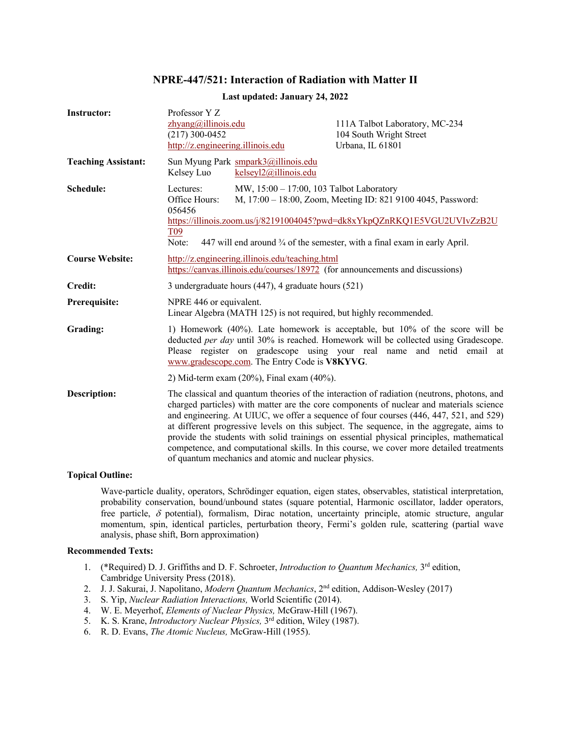# **NPRE-447/521: Interaction of Radiation with Matter II**

| <b>Instructor:</b>         | Professor Y Z<br>zhyang@illinois.edu<br>$(217)$ 300-0452<br>http://z.engineering.illinois.edu                                                                                                                                                                                                                                                                                                                                                                                                                                                                                                                              | 111A Talbot Laboratory, MC-234<br>104 South Wright Street<br>Urbana, IL 61801 |
|----------------------------|----------------------------------------------------------------------------------------------------------------------------------------------------------------------------------------------------------------------------------------------------------------------------------------------------------------------------------------------------------------------------------------------------------------------------------------------------------------------------------------------------------------------------------------------------------------------------------------------------------------------------|-------------------------------------------------------------------------------|
| <b>Teaching Assistant:</b> | Sun Myung Park smpark3@illinois.edu<br>kelseyl2@illinois.edu<br>Kelsey Luo                                                                                                                                                                                                                                                                                                                                                                                                                                                                                                                                                 |                                                                               |
| Schedule:                  | Lectures:<br>MW, 15:00 - 17:00, 103 Talbot Laboratory<br>M, 17:00 - 18:00, Zoom, Meeting ID: 821 9100 4045, Password:<br>Office Hours:<br>056456<br>https://illinois.zoom.us/j/82191004045?pwd=dk8xYkpQZnRKQ1E5VGU2UVIvZzB2U<br>T <sub>09</sub><br>Note:<br>447 will end around 3/4 of the semester, with a final exam in early April.                                                                                                                                                                                                                                                                                     |                                                                               |
| <b>Course Website:</b>     | http://z.engineering.illinois.edu/teaching.html<br>https://canvas.illinois.edu/courses/18972 (for announcements and discussions)                                                                                                                                                                                                                                                                                                                                                                                                                                                                                           |                                                                               |
| <b>Credit:</b>             | 3 undergraduate hours (447), 4 graduate hours (521)                                                                                                                                                                                                                                                                                                                                                                                                                                                                                                                                                                        |                                                                               |
| Prerequisite:              | NPRE 446 or equivalent.<br>Linear Algebra (MATH 125) is not required, but highly recommended.                                                                                                                                                                                                                                                                                                                                                                                                                                                                                                                              |                                                                               |
| Grading:                   | 1) Homework (40%). Late homework is acceptable, but 10% of the score will be<br>deducted <i>per day</i> until 30% is reached. Homework will be collected using Gradescope.<br>Please register on gradescope using your real name and netid email at<br>www.gradescope.com. The Entry Code is V8KYVG.                                                                                                                                                                                                                                                                                                                       |                                                                               |
|                            | 2) Mid-term exam $(20\%)$ , Final exam $(40\%)$ .                                                                                                                                                                                                                                                                                                                                                                                                                                                                                                                                                                          |                                                                               |
| <b>Description:</b>        | The classical and quantum theories of the interaction of radiation (neutrons, photons, and<br>charged particles) with matter are the core components of nuclear and materials science<br>and engineering. At UIUC, we offer a sequence of four courses (446, 447, 521, and 529)<br>at different progressive levels on this subject. The sequence, in the aggregate, aims to<br>provide the students with solid trainings on essential physical principles, mathematical<br>competence, and computational skills. In this course, we cover more detailed treatments<br>of quantum mechanics and atomic and nuclear physics. |                                                                               |

## **Last updated: January 24, 2022**

### **Topical Outline:**

Wave-particle duality, operators, Schrödinger equation, eigen states, observables, statistical interpretation, probability conservation, bound/unbound states (square potential, Harmonic oscillator, ladder operators, free particle,  $\delta$  potential), formalism, Dirac notation, uncertainty principle, atomic structure, angular momentum, spin, identical particles, perturbation theory, Fermi's golden rule, scattering (partial wave analysis, phase shift, Born approximation)

#### **Recommended Texts:**

- 1. (\*Required) D. J. Griffiths and D. F. Schroeter, *Introduction to Quantum Mechanics,* 3rd edition, Cambridge University Press (2018).
- 2. J. J. Sakurai, J. Napolitano, *Modern Quantum Mechanics*, 2nd edition, Addison-Wesley (2017)
- 3. S. Yip, *Nuclear Radiation Interactions,* World Scientific (2014).
- 4. W. E. Meyerhof, *Elements of Nuclear Physics,* McGraw-Hill (1967).
- 5. K. S. Krane, *Introductory Nuclear Physics,* 3rd edition, Wiley (1987).
- 6. R. D. Evans, *The Atomic Nucleus,* McGraw-Hill (1955).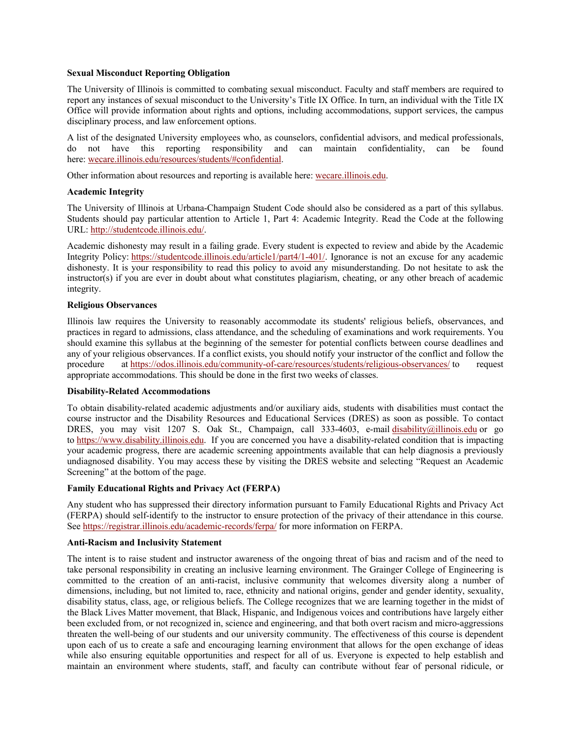## **Sexual Misconduct Reporting Obligation**

The University of Illinois is committed to combating sexual misconduct. Faculty and staff members are required to report any instances of sexual misconduct to the University's Title IX Office. In turn, an individual with the Title IX Office will provide information about rights and options, including accommodations, support services, the campus disciplinary process, and law enforcement options.

A list of the designated University employees who, as counselors, confidential advisors, and medical professionals, do not have this reporting responsibility and can maintain confidentiality, can be found here: wecare.illinois.edu/resources/students/#confidential.

Other information about resources and reporting is available here: wecare.illinois.edu.

## **Academic Integrity**

The University of Illinois at Urbana-Champaign Student Code should also be considered as a part of this syllabus. Students should pay particular attention to Article 1, Part 4: Academic Integrity. Read the Code at the following URL: http://studentcode.illinois.edu/.

Academic dishonesty may result in a failing grade. Every student is expected to review and abide by the Academic Integrity Policy: https://studentcode.illinois.edu/article1/part4/1-401/. Ignorance is not an excuse for any academic dishonesty. It is your responsibility to read this policy to avoid any misunderstanding. Do not hesitate to ask the instructor(s) if you are ever in doubt about what constitutes plagiarism, cheating, or any other breach of academic integrity.

## **Religious Observances**

Illinois law requires the University to reasonably accommodate its students' religious beliefs, observances, and practices in regard to admissions, class attendance, and the scheduling of examinations and work requirements. You should examine this syllabus at the beginning of the semester for potential conflicts between course deadlines and any of your religious observances. If a conflict exists, you should notify your instructor of the conflict and follow the procedure at https://odos.illinois.edu/community-of-care/resources/students/religious-observances/ to request appropriate accommodations. This should be done in the first two weeks of classes.

#### **Disability-Related Accommodations**

To obtain disability-related academic adjustments and/or auxiliary aids, students with disabilities must contact the course instructor and the Disability Resources and Educational Services (DRES) as soon as possible. To contact DRES, you may visit 1207 S. Oak St., Champaign, call 333-4603, e-mail disability@illinois.edu or go to https://www.disability.illinois.edu. If you are concerned you have a disability-related condition that is impacting your academic progress, there are academic screening appointments available that can help diagnosis a previously undiagnosed disability. You may access these by visiting the DRES website and selecting "Request an Academic Screening" at the bottom of the page.

## **Family Educational Rights and Privacy Act (FERPA)**

Any student who has suppressed their directory information pursuant to Family Educational Rights and Privacy Act (FERPA) should self-identify to the instructor to ensure protection of the privacy of their attendance in this course. See https://registrar.illinois.edu/academic-records/ferpa/ for more information on FERPA.

#### **Anti-Racism and Inclusivity Statement**

The intent is to raise student and instructor awareness of the ongoing threat of bias and racism and of the need to take personal responsibility in creating an inclusive learning environment. The Grainger College of Engineering is committed to the creation of an anti-racist, inclusive community that welcomes diversity along a number of dimensions, including, but not limited to, race, ethnicity and national origins, gender and gender identity, sexuality, disability status, class, age, or religious beliefs. The College recognizes that we are learning together in the midst of the Black Lives Matter movement, that Black, Hispanic, and Indigenous voices and contributions have largely either been excluded from, or not recognized in, science and engineering, and that both overt racism and micro-aggressions threaten the well-being of our students and our university community. The effectiveness of this course is dependent upon each of us to create a safe and encouraging learning environment that allows for the open exchange of ideas while also ensuring equitable opportunities and respect for all of us. Everyone is expected to help establish and maintain an environment where students, staff, and faculty can contribute without fear of personal ridicule, or